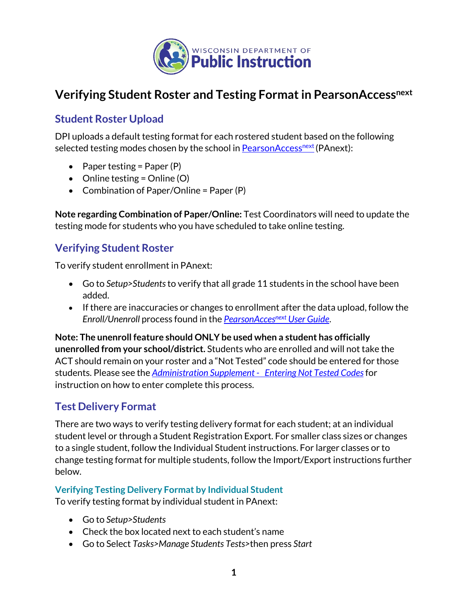

# **Verifying Student Roster and Testing Format in PearsonAccessnext**

## **Student Roster Upload**

DPI uploads a default testing format for each rostered student based on the following selected testing modes chosen by the school in PearsonAccess<sup>next</sup> (PAnext):

- Paper testing = Paper  $(P)$
- Online testing = Online  $(O)$
- Combination of Paper/Online = Paper (P)

**Note regarding Combination of Paper/Online:** Test Coordinators will need to update the testing mode for students who you have scheduled to take online testing.

# **Verifying Student Roster**

To verify student enrollment in PAnext:

- Go to *Setup>Students*to verify that all grade 11 students in the school have been added.
- If there are inaccuracies or changes to enrollment after the data upload, follow the *Enroll/Unenroll* process found in the *[PearsonAccesnext](https://content.act.org/wisconsin/r/PearsonAccess_Next_User_Guide_for_the_ACT_Spring) User Guide*.

**Note: The unenroll feature should ONLY be used when a student has officially unenrolled from your school/district.** Students who are enrolled and will not take the ACT should remain on your roster and a "Not Tested" code should be entered for those students. Please see the *[Administration Supplement - Entering Not Tested Codes](https://www.act.org/content/dam/act/unsecured/documents/pdfs/AdministrationSupplementACT-WI.pdf)*for instruction on how to enter complete this process.

## **Test Delivery Format**

There are two ways to verify testing delivery format for each student; at an individual student level or through a Student Registration Export. For smaller class sizes or changes to a single student, follow the Individual Student instructions. For larger classes or to change testing format for multiple students, follow the Import/Export instructions further below.

#### **Verifying Testing Delivery Format by Individual Student**

To verify testing format by individual student in PAnext:

- Go to *Setup>Students*
- Check the box located next to each student's name
- Go to Select *Tasks>Manage Students Tests>*then press *Start*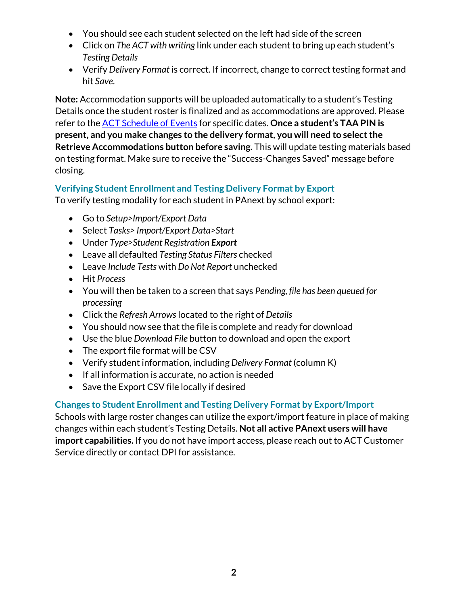- You should see each student selected on the left had side of the screen
- Click on *The ACT with writing* link under each student to bring up each student's *Testing Details*
- Verify *Delivery Format* is correct. If incorrect, change to correct testing format and hit *Save*.

**Note:** Accommodation supports will be uploaded automatically to a student's Testing Details once the student roster is finalized and as accommodations are approved. Please refer to the [ACT Schedule of Events](https://content.act.org/wisconsin/r/Schedule_of_Events_for_The_ACT_-_Wisconsin_-_Spring) for specific dates. **Once a student's TAA PIN is present, and you make changes to the delivery format, you will need to select the Retrieve Accommodations button before saving.** This will update testing materials based on testing format. Make sure to receive the "Success-Changes Saved" message before closing.

#### **Verifying Student Enrollment and Testing Delivery Format by Export**

To verify testing modality for each student in PAnext by school export:

- Go to *Setup>Import/Export Data*
- Select *Tasks> Import/Export Data>Start*
- Under *Type>Student Registration Export*
- Leave all defaulted *Testing Status Filters* checked
- Leave *Include Tests* with *Do Not Report* unchecked
- Hit *Process*
- You will then be taken to a screen that says *Pending, file has been queued for processing*
- Click the *Refresh Arrows* located to the right of *Details*
- You should now see that the file is complete and ready for download
- Use the blue *Download File* button to download and open the export
- The export file format will be CSV
- Verify student information, including *Delivery Format* (column K)
- If all information is accurate, no action is needed
- Save the Export CSV file locally if desired

#### **Changes to Student Enrollment and Testing Delivery Format by Export/Import**

Schools with large roster changes can utilize the export/import feature in place of making changes within each student's Testing Details. **Not all active PAnext users will have import capabilities.** If you do not have import access, please reach out to ACT Customer Service directly or contact DPI for assistance.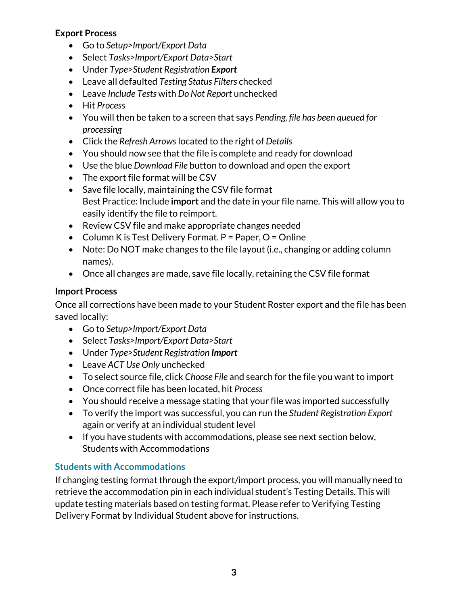#### **Export Process**

- Go to *Setup>Import/Export Data*
- Select *Tasks>Import/Export Data>Start*
- Under *Type>Student Registration Export*
- Leave all defaulted *Testing Status Filters* checked
- Leave *Include Tests* with *Do Not Report* unchecked
- Hit *Process*
- You will then be taken to a screen that says *Pending, file has been queued for processing*
- Click the *Refresh Arrows* located to the right of *Details*
- You should now see that the file is complete and ready for download
- Use the blue *Download File* button to download and open the export
- The export file format will be CSV
- Save file locally, maintaining the CSV file format Best Practice: Include **import** and the date in your file name. This will allow you to easily identify the file to reimport.
- Review CSV file and make appropriate changes needed
- Column K is Test Delivery Format.  $P = Paper$ ,  $O = Online$
- Note: Do NOT make changes to the file layout (i.e., changing or adding column names).
- Once all changes are made, save file locally, retaining the CSV file format

#### **Import Process**

Once all corrections have been made to your Student Roster export and the file has been saved locally:

- Go to *Setup>Import/Export Data*
- Select *Tasks>Import/Export Data>Start*
- Under *Type>Student Registration Import*
- Leave *ACT Use Only* unchecked
- To select source file, click *Choose File* and search for the file you want to import
- Once correct file has been located, hit *Process*
- You should receive a message stating that your file was imported successfully
- To verify the import was successful, you can run the *Student Registration Export* again or verify at an individual student level
- If you have students with accommodations, please see next section below, Students with Accommodations

## **Students with Accommodations**

If changing testing format through the export/import process, you will manually need to retrieve the accommodation pin in each individual student's Testing Details. This will update testing materials based on testing format. Please refer to Verifying Testing Delivery Format by Individual Student above for instructions.